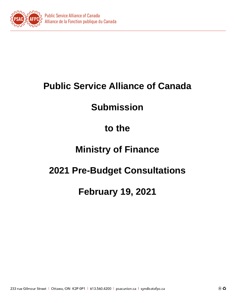

# **Public Service Alliance of Canada**

# **Submission**

### **to the**

### **Ministry of Finance**

### **2021 Pre-Budget Consultations**

### **February 19, 2021**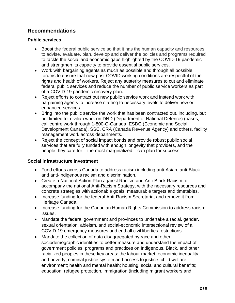### **Recommendations**

#### **Public services**

- Boost the federal public service so that it has the human capacity and resources to advise, evaluate, plan, develop and deliver the policies and programs required to tackle the social and economic gaps highlighted by the COVID-19 pandemic and strengthen its capacity to provide essential public services.
- Work with bargaining agents as much as possible and through all possible forums to ensure that new post COVID working conditions are respectful of the rights and health of workers. Reject any austerity measures to cut and eliminate federal public services and reduce the number of public service workers as part of a COVID-19 pandemic recovery plan.
- Reject efforts to contract out new public service work and instead work with bargaining agents to increase staffing to necessary levels to deliver new or enhanced services.
- Bring into the public service the work that has been contracted out, including, but not limited to: civilian work on DND (Department of National Defence) (bases, call centre work through 1-800-O-Canada, ESDC (Economic and Social Development Canada), SSC, CRA (Canada Revenue Agency) and others, facility management work across departments.
- Reject the concept of social impact bonds and provide robust public social services that are fully funded with enough longevity that providers, and the people they care for – the most marginalized – can plan for success.

#### **Social infrastructure investment**

- Fund efforts across Canada to address racism including anti-Asian, anti-Black and anti-Indigenous racism and discrimination.
- Create a National Action Plan against Racism and Anti-Black Racism to accompany the national Anti-Racism Strategy, with the necessary resources and concrete strategies with actionable goals, measurable targets and timetables.
- Increase funding for the federal Anti-Racism Secretariat and remove it from Heritage Canada.
- Increase funding for the Canadian Human Rights Commission to address racism issues.
- Mandate the federal government and provinces to undertake a racial, gender, sexual orientation, ableism, and social-economic intersectional review of all COVID-19 emergency measures and end all civil liberties restrictions.
- Mandate the collection of data disaggregated by race and other sociodemographic identities to better measure and understand the impact of government policies, programs and practices on Indigenous, Black, and other racialized peoples in these key areas: the labour market, economic inequality and poverty; criminal justice system and access to justice; child welfare; environment; health and mental health; housing; social and cultural benefits; education; refugee protection, immigration (including migrant workers and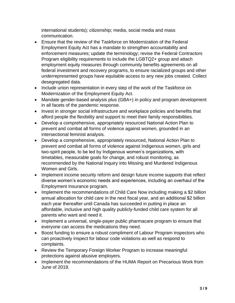international students); citizenship; media, social media and mass communication.

- Ensure that the review of the Taskforce on Modernization of the Federal Employment Equity Act has a mandate to strengthen accountability and enforcement measures; update the terminology; revise the Federal Contractors Program eligibility requirements to include the LGBTQ2+ group and attach employment equity measures through community benefits agreements on all federal investment and recovery programs, to ensure racialized groups and other underrepresented groups have equitable access to any new jobs created. Collect desegregated data.
- Include union representation in every step of the work of the Taskforce on Modernization of the Employment Equity Act.
- Mandate gender-based analysis plus (GBA+) in policy and program development in all facets of the pandemic response.
- Invest in stronger social infrastructure and workplace policies and benefits that afford people the flexibility and support to meet their family responsibilities.
- Develop a comprehensive, appropriately resourced National Action Plan to prevent and combat all forms of violence against women, grounded in an intersectional feminist analysis.
- Develop a comprehensive, appropriately resourced, National Action Plan to prevent and combat all forms of violence against Indigenous women, girls and two-spirit people, to be led by Indigenous women's organizations, with timetables, measurable goals for change, and robust monitoring, as recommended by the National Inquiry into Missing and Murdered Indigenous Women and Girls.
- Implement income security reform and design future income supports that reflect diverse women's economic needs and experiences, including an overhaul of the Employment Insurance program.
- Implement the recommendations of Child Care Now including making a \$2 billion annual allocation for child care in the next fiscal year, and an additional \$2 billion each year thereafter until Canada has succeeded in putting in place an affordable, inclusive and high quality publicly-funded child care system for all parents who want and need it.
- Implement a universal, single-payer public pharmacare program to ensure that everyone can access the medications they need.
- Boost funding to ensure a robust compliment of Labour Program inspectors who can proactively inspect for labour code violations as well as respond to complaints.
- Review the Temporary Foreign Worker Program to increase meaningful protections against abusive employers.
- Implement the recommendations of the HUMA Report on Precarious Work from June of 2019.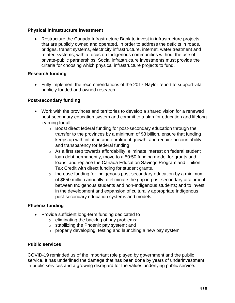#### **Physical infrastructure investment**

• Restructure the Canada Infrastructure Bank to invest in infrastructure projects that are publicly owned and operated, in order to address the deficits in roads, bridges, transit systems, electricity infrastructure, internet, water treatment and related systems, with a focus on Indigenous communities without the use of private-public partnerships. Social infrastructure investments must provide the criteria for choosing which physical infrastructure projects to fund.

#### **Research funding**

• Fully implement the recommendations of the 2017 Naylor report to support vital publicly funded and owned research.

#### **Post-secondary funding**

- Work with the provinces and territories to develop a shared vision for a renewed post-secondary education system and commit to a plan for education and lifelong learning for all.
	- $\circ$  Boost direct federal funding for post-secondary education through the transfer to the provinces by a minimum of \$3 billion, ensure that funding keeps up with inflation and enrolment growth, and require accountability and transparency for federal funding.
	- $\circ$  As a first step towards affordability, eliminate interest on federal student loan debt permanently, move to a 50:50 funding model for grants and loans, and replace the Canada Education Savings Program and Tuition Tax Credit with direct funding for student grants.
	- $\circ$  Increase funding for Indigenous post-secondary education by a minimum of \$650 million annually to eliminate the gap in post-secondary attainment between Indigenous students and non-Indigenous students; and to invest in the development and expansion of culturally appropriate Indigenous post-secondary education systems and models.

#### **Phoenix funding**

- Provide sufficient long-term funding dedicated to
	- o eliminating the backlog of pay problems;
	- o stabilizing the Phoenix pay system; and
	- o properly developing, testing and launching a new pay system

#### **Public services**

COVID-19 reminded us of the important role played by government and the public service. It has underlined the damage that has been done by years of underinvestment in public services and a growing disregard for the values underlying public service.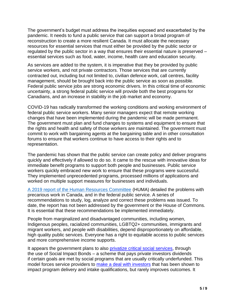The government's budget must address the inequities exposed and exacerbated by the pandemic. It needs to fund a public service that can support a broad program of reconstruction to create a more resilient Canada. It must allocate the necessary resources for essential services that must either be provided by the public sector or regulated by the public sector in a way that ensures their essential nature is preserved – essential services such as food, water, income, health care and education security.

As services are added to the system, it is imperative that they be provided by public service workers, and not private contractors. Those services that are currently contracted out, including but not limited to, civilian defence work, call centres, facility management, should be brought back into the public service as soon as possible. Federal public service jobs are strong economic drivers. In this critical time of economic uncertainty, a strong federal public service will provide both the best programs for Canadians, and an increase in stability in the job market and economy.

COVID-19 has radically transformed the working conditions and working environment of federal public service workers. Many senior managers expect that remote working changes that have been implemented during the pandemic will be made permanent. The government must plan and fund changes to systems and equipment to ensure that the rights and health and safety of those workers are maintained. The government must commit to work with bargaining agents at the bargaining table and in other consultation forums to ensure that workers continue to have access to their rights and to representation.

The pandemic has shown that the public service can create policy and deliver programs quickly and effectively if allowed to do so. It came to the rescue with innovative ideas for immediate benefit programs to support both people and businesses. Public service workers quickly embraced new work to ensure that these programs were successful. They implemented unprecedented programs, processed millions of applications and worked on multiple support measures for businesses and individuals.

A [2019 report of the Human Resources Committee](https://www.ourcommons.ca/DocumentViewer/en/42-1/HUMA/report-19/) (HUMA) detailed the problems with precarious work in Canada, and in the federal public service. A series of recommendations to study, log, analyze and correct these problems was issued. To date, the report has not been addressed by the government or the House of Commons. It is essential that these recommendations be implemented immediately.

People from marginalized and disadvantaged communities, including women, Indigenous peoples, racialized communities, LGBTQ2+ communities, immigrants and migrant workers, and people with disabilities, depend disproportionately on affordable, high quality public services. Everyone has a right to equitable access to public services and more comprehensive income supports.

It appears the government plans to also [privatize critical social services,](https://www.cbc.ca/news/politics/liberal-review-social-finance-fund-1.5656098?__vfz=medium%3Dsharebar&fbclid=IwAR0ZYA8QnkXF1MiBWwZK20LPngpjGnjAxXtrTcGKqIUkUubYDl_uv9JYkfM) through the use of Social Impact Bonds – a scheme that pays private investors dividends if certain goals are met by social programs that are usually critically underfunded. This model forces service providers to [make a deal with investors](http://documents.clcctc.ca/sep/privatization_report_Final_EN.pdf) that has been shown to impact program delivery and intake qualifications, but rarely improves outcomes. It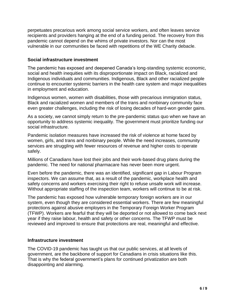perpetuates precarious work among social service workers, and often leaves service recipients and providers hanging at the end of a funding period. The recovery from this pandemic cannot depend on the whims of private investors. Nor can the most vulnerable in our communities be faced with repetitions of the WE Charity debacle.

#### **Social infrastructure investment**

The pandemic has exposed and deepened Canada's long-standing systemic economic, social and health inequities with its disproportionate impact on Black, racialized and Indigenous individuals and communities. Indigenous, Black and other racialized people continue to encounter systemic barriers in the health care system and major inequalities in employment and education.

Indigenous women, women with disabilities, those with precarious immigration status, Black and racialized women and members of the trans and nonbinary community face even greater challenges, including the risk of losing decades of hard-won gender gains.

As a society, we cannot simply return to the pre-pandemic status quo when we have an opportunity to address systemic inequality. The government must prioritize funding our social infrastructure.

Pandemic isolation measures have increased the risk of violence at home faced by women, girls, and trans and nonbinary people. While the need increases, community services are struggling with fewer resources of revenue and higher costs to operate safely.

Millions of Canadians have lost their jobs and their work-based drug plans during the pandemic. The need for national pharmacare has never been more urgent.

Even before the pandemic, there was an identified, significant gap in Labour Program inspectors. We can assume that, as a result of the pandemic, workplace health and safety concerns and workers exercising their right to refuse unsafe work will increase. Without appropriate staffing of the inspection team, workers will continue to be at risk.

The pandemic has exposed how vulnerable temporary foreign workers are in our system, even though they are considered essential workers. There are few meaningful protections against abusive employers in the Temporary Foreign Worker Program (TFWP). Workers are fearful that they will be deported or not allowed to come back next year if they raise labour, health and safety or other concerns. The TFWP must be reviewed and improved to ensure that protections are real, meaningful and effective.

#### **Infrastructure investment**

The COVID-19 pandemic has taught us that our public services, at all levels of government, are the backbone of support for Canadians in crisis situations like this. That is why the federal government's plans for continued privatization are both disappointing and alarming.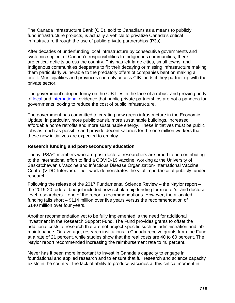The Canada Infrastructure Bank (CIB), sold to Canadians as a means to publicly fund infrastructure projects, is actually a vehicle to privatize Canada's critical infrastructure through the use of public-private partnerships (P3s).

After decades of underfunding local infrastructure by consecutive governments and systemic neglect of Canada's responsibilities to Indigenous communities, there are critical deficits across the country. This has left large cities, small towns, and Indigenous communities desperate to fix their decaying or missing infrastructure making them particularly vulnerable to the predatory offers of companies bent on making a profit. Municipalities and provinces can only access CIB funds if they partner up with the private sector.

The government's dependency on the CIB flies in the face of a robust and growing body of [local](https://www.auditor.on.ca/en/content/annualreports/arreports/en14/305en14.pdf) and [international](https://theconversation.com/pfi-has-been-a-failure-and-carillion-is-the-tip-of-the-iceberg-90487) evidence that public-private partnerships are not a panacea for governments looking to reduce the cost of public infrastructure.

The government has committed to creating new green infrastructure in the Economic Update, in particular, more public transit, more sustainable buildings, increased affordable home retrofits and more sustainable energy. These initiatives must be public jobs as much as possible and provide decent salaries for the one million workers that these new initiatives are expected to employ.

#### **Research funding and post-secondary education**

Today, PSAC members who are post-doctoral researchers are proud to be contributing to the international effort to find a COVID-19 vaccine, working at the University of Saskatchewan's Vaccine and Infectious Disease Organization-International Vaccine Centre (VIDO-Intervac). Their work demonstrates the vital importance of publicly funded research.

Following the release of the 2017 Fundamental Science Review – the Naylor report – the 2019-20 federal budget included new scholarship funding for master's- and doctorallevel researchers – one of the report's recommendations. However, the allocated funding falls short – \$114 million over five years versus the recommendation of \$140 million over four years.

Another recommendation yet to be fully implemented is the need for additional investment in the Research Support Fund. The Fund provides grants to offset the additional costs of research that are not project-specific such as administration and lab maintenance. On average, research institutions in Canada receive grants from the Fund at a rate of 21 percent, while studies show that the real costs are 40 to 60 percent. The Naylor report recommended increasing the reimbursement rate to 40 percent.

Never has it been more important to invest in Canada's capacity to engage in foundational and applied research and to ensure that full research and science capacity exists in the country. The lack of ability to produce vaccines at this critical moment in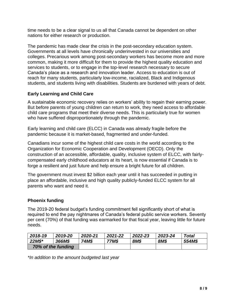time needs to be a clear signal to us all that Canada cannot be dependent on other nations for either research or production.

The pandemic has made clear the crisis in the post-secondary education system. Governments at all levels have chronically underinvested in our universities and colleges. Precarious work among post-secondary workers has become more and more common, making it more difficult for them to provide the highest quality education and services to students, or to engage in the top-level research necessary to secure Canada's place as a research and innovation leader. Access to education is out of reach for many students, particularly low-income, racialized, Black and Indigenous students, and students living with disabilities. Students are burdened with years of debt.

#### **Early Learning and Child Care**

A sustainable economic recovery relies on workers' ability to regain their earning power. But before parents of young children can return to work, they need access to affordable child care programs that meet their diverse needs. This is particularly true for women who have suffered disproportionately through the pandemic.

Early learning and child care (ELCC) in Canada was already fragile before the pandemic because it is market-based, fragmented and under-funded.

Canadians incur some of the highest child care costs in the world according to the Organization for Economic Cooperation and Development (OECD). Only the construction of an accessible, affordable, quality, inclusive system of ELCC, with fairlycompensated early childhood educators at its heart, is now essential if Canada is to forge a resilient and just future and help ensure a bright future for all children.

The government must invest \$2 billion each year until it has succeeded in putting in place an affordable, inclusive and high quality publicly-funded ELCC system for all parents who want and need it.

#### **Phoenix funding**

The 2019-20 federal budget's funding commitment fell significantly short of what is required to end the pay nightmares of Canada's federal public service workers. Seventy per cent (70%) of that funding was earmarked for that fiscal year, leaving little for future needs.

| 2018-19            | 2019-20 | 2020-21 | 2021-22 | 2022-23 | 2023-24 | Total  |
|--------------------|---------|---------|---------|---------|---------|--------|
| $22M$$ *           | 366M\$  | 74M\$   | 77M\$   | 8M\$    | 8M\$    | 554M\$ |
| 70% of the funding |         |         |         |         |         |        |

*\*In addition to the amount budgeted last year*